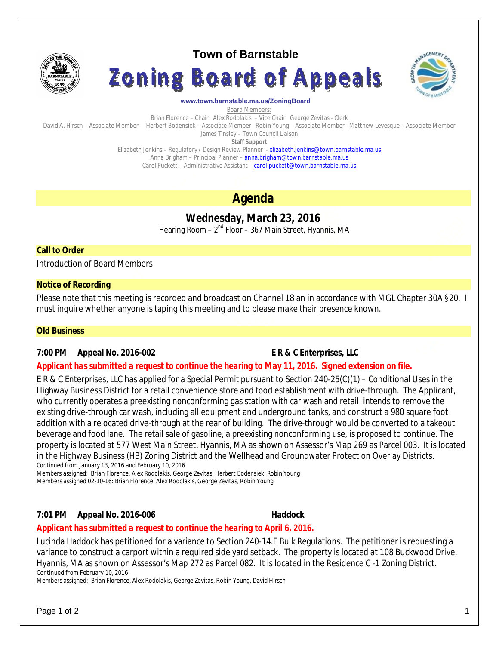

# **Town of Barnstable**





#### **www.town.barnstable.ma.us/ZoningBoard**

Board Members:

Brian Florence – Chair Alex Rodolakis – Vice Chair George Zevitas - Clerk David A. Hirsch – Associate Member Herbert Bodensiek – Associate Member Robin Young – Associate Member Matthew Levesque – Associate Member James Tinsley – Town Council Liaison

**Staff Support**

Elizabeth Jenkins - Regulatory / Design Review Planner - elizabeth.jenkins@town.barnstable.ma.us Anna Brigham - Principal Planner - anna.brigham@town.barnstable.ma.us Carol Puckett – Administrative Assistant – carol.puckett@town.barnstable.ma.us

# **Agenda**

# **Wednesday, March 23, 2016**

Hearing Room – 2<sup>nd</sup> Floor – 367 Main Street, Hyannis, MA

# **Call to Order**

Introduction of Board Members

## **Notice of Recording**

Please note that this meeting is recorded and broadcast on Channel 18 an in accordance with MGL Chapter 30A §20. I must inquire whether anyone is taping this meeting and to please make their presence known.

### **Old Business**

# **7:00 PM Appeal No. 2016-002 E R & C Enterprises, LLC**

# *Applicant has submitted a request to continue the hearing to May 11, 2016. Signed extension on file.*

E R & C Enterprises, LLC has applied for a Special Permit pursuant to Section 240-25(C)(1) – Conditional Uses in the Highway Business District for a retail convenience store and food establishment with drive-through. The Applicant, who currently operates a preexisting nonconforming gas station with car wash and retail, intends to remove the existing drive-through car wash, including all equipment and underground tanks, and construct a 980 square foot addition with a relocated drive-through at the rear of building. The drive-through would be converted to a takeout beverage and food lane. The retail sale of gasoline, a preexisting nonconforming use, is proposed to continue. The property is located at 577 West Main Street, Hyannis, MA as shown on Assessor's Map 269 as Parcel 003. It is located in the Highway Business (HB) Zoning District and the Wellhead and Groundwater Protection Overlay Districts. *Continued from January 13, 2016 and February 10, 2016.*

*Members assigned: Brian Florence, Alex Rodolakis, George Zevitas, Herbert Bodensiek, Robin Young* Members assigned 02-10-16: Brian Florence, Alex Rodolakis, George Zevitas, Robin Young

# **7:01 PM Appeal No. 2016-006 Haddock**

### *Applicant has submitted a request to continue the hearing to April 6, 2016.*

Lucinda Haddock has petitioned for a variance to Section 240-14.E Bulk Regulations. The petitioner is requesting a variance to construct a carport within a required side yard setback. The property is located at 108 Buckwood Drive, Hyannis, MA as shown on Assessor's Map 272 as Parcel 082. It is located in the Residence C -1 Zoning District. Continued from February 10, 2016

Members assigned: Brian Florence, Alex Rodolakis, George Zevitas, Robin Young, David Hirsch

Page 1 of 2  $\hphantom{\ddots}$